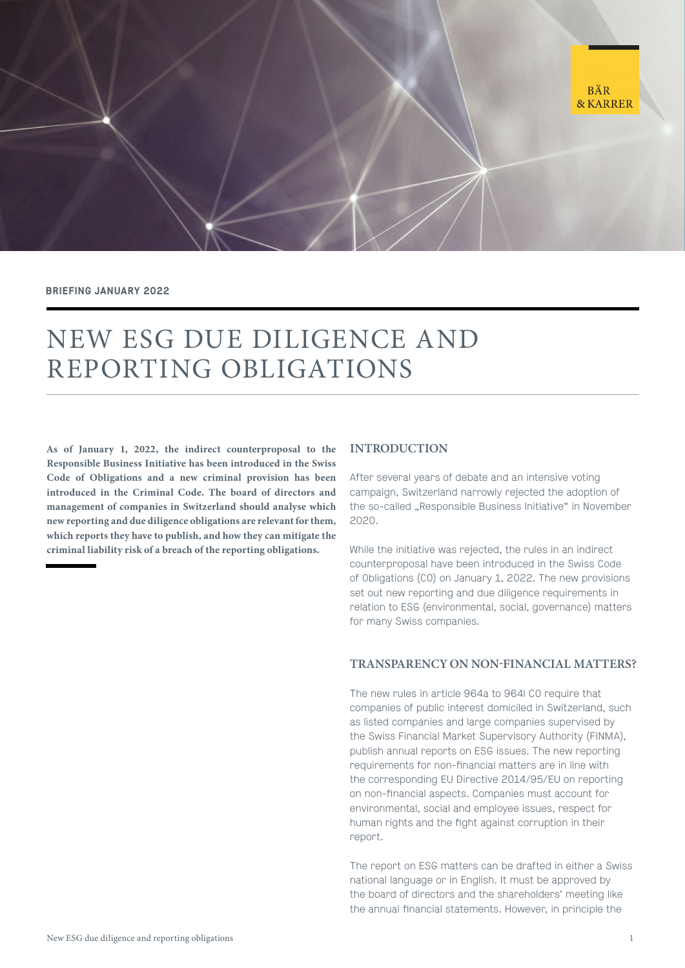

#### **BRIEFING JANUARY 2022**

# NEW ESG DUE DILIGENCE AND REPORTING OBLIGATIONS

As of January 1, 2022, the indirect counterproposal to the Responsible Business Initiative has been introduced in the Swiss Code of Obligations and a new criminal provision has been introduced in the Criminal Code. The board of directors and management of companies in Switzerland should analyse which new reporting and due diligence obligations are relevant for them, which reports they have to publish, and how they can mitigate the criminal liability risk of a breach of the reporting obligations.

#### INTRODUCTION

After several years of debate and an intensive voting campaign, Switzerland narrowly rejected the adoption of the so-called "Responsible Business Initiative" in November 2020.

While the initiative was rejected, the rules in an indirect counterproposal have been introduced in the Swiss Code of Obligations (CO) on January 1, 2022. The new provisions set out new reporting and due diligence requirements in relation to ESG (environmental, social, governance) matters for many Swiss companies.

## TRANSPARENCY ON NON-FINANCIAL MATTERS?

The new rules in article 964a to 964l CO require that companies of public interest domiciled in Switzerland, such as listed companies and large companies supervised by the Swiss Financial Market Supervisory Authority (FINMA), publish annual reports on ESG issues. The new reporting requirements for non-financial matters are in line with the corresponding EU Directive 2014/95/EU on reporting on non-financial aspects. Companies must account for environmental, social and employee issues, respect for human rights and the fight against corruption in their report.

The report on ESG matters can be drafted in either a Swiss national language or in English. It must be approved by the board of directors and the shareholders' meeting like the annual financial statements. However, in principle the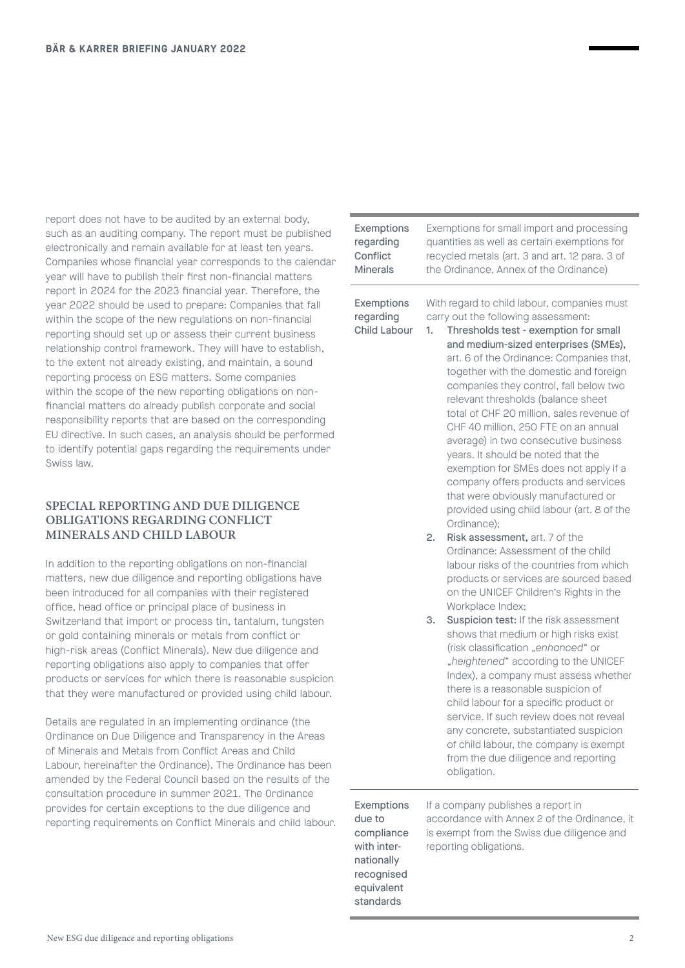report does not have to be audited by an external body, such as an auditing company. The report must be publishe electronically and remain available for at least ten years. Companies whose financial year corresponds to the calend year will have to publish their first non-financial matters report in 2024 for the 2023 financial year. Therefore, the year 2022 should be used to prepare: Companies that fall within the scope of the new regulations on non-financial reporting should set up or assess their current business relationship control framework. They will have to establish, to the extent not already existing, and maintain, a sound reporting process on ESG matters. Some companies within the scope of the new reporting obligations on nonfinancial matters do already publish corporate and social responsibility reports that are based on the corresponding EU directive. In such cases, an analysis should be performe to identify potential gaps regarding the requirements under Swiss law.

#### SPECIAL REPORTING AND DUE DILIGENCE OBLIGATIONS REGARDING CONFLICT MINERALS AND CHILD LABOUR

In addition to the reporting obligations on non-financial matters, new due diligence and reporting obligations have been introduced for all companies with their registered office, head office or principal place of business in Switzerland that import or process tin, tantalum, tungsten or gold containing minerals or metals from conflict or high-risk areas (Conflict Minerals). New due diligence and reporting obligations also apply to companies that offer products or services for which there is reasonable suspicithat they were manufactured or provided using child labour

Details are regulated in an implementing ordinance (the Ordinance on Due Diligence and Transparency in the Areas of Minerals and Metals from Conflict Areas and Child Labour, hereinafter the Ordinance). The Ordinance has been amended by the Federal Council based on the results of th consultation procedure in summer 2021. The Ordinance provides for certain exceptions to the due diligence and reporting requirements on Conflict Minerals and child labour.

| Exemptions<br>regarding<br>Conflict<br><b>Minerals</b> | Exemptions for small import and processing<br>quantities as well as certain exemptions for<br>recycled metals (art. 3 and art. 12 para. 3 of<br>the Ordinance, Annex of the Ordinance)                                                                                                                                                                                                                                                                                                                                                                                                                                                                                                                                                                                                                                                                                                                                                     |
|--------------------------------------------------------|--------------------------------------------------------------------------------------------------------------------------------------------------------------------------------------------------------------------------------------------------------------------------------------------------------------------------------------------------------------------------------------------------------------------------------------------------------------------------------------------------------------------------------------------------------------------------------------------------------------------------------------------------------------------------------------------------------------------------------------------------------------------------------------------------------------------------------------------------------------------------------------------------------------------------------------------|
| Exemptions<br>regarding<br><b>Child Labour</b>         | With regard to child labour, companies must<br>carry out the following assessment:<br>Thresholds test - exemption for small<br>1.<br>and medium-sized enterprises (SMEs),<br>art. 6 of the Ordinance: Companies that,<br>together with the domestic and foreign<br>companies they control, fall below two<br>relevant thresholds (balance sheet<br>total of CHF 20 million, sales revenue of<br>CHF 40 million, 250 FTE on an annual<br>average) in two consecutive business<br>years. It should be noted that the<br>exemption for SMEs does not apply if a<br>company offers products and services<br>that were obviously manufactured or<br>provided using child labour (art. 8 of the<br>Ordinance);<br>Risk assessment, art. 7 of the<br>2.<br>Ordinance: Assessment of the child<br>labour risks of the countries from which<br>products or services are sourced based<br>on the UNICEF Children's Rights in the<br>Workplace Index; |
|                                                        | Suspicion test: If the risk assessment<br>3.<br>shows that medium or high risks exist<br>(risk classification "enhanced" or<br>"heightened" according to the UNICEF<br>Index), a company must assess whether<br>there is a reasonable suspicion of<br>child labour for a specific product or<br>service. If such review does not reveal<br>any concrete, substantiated suspicion<br>of child labour, the company is exempt<br>from the due diligence and reporting<br>obligation.                                                                                                                                                                                                                                                                                                                                                                                                                                                          |
| Exemptions                                             | If a company publishes a report in                                                                                                                                                                                                                                                                                                                                                                                                                                                                                                                                                                                                                                                                                                                                                                                                                                                                                                         |

due to compliance with internationally recognised equivalent standards

accordance with Annex 2 of the Ordinance, it is exempt from the Swiss due diligence and reporting obligations.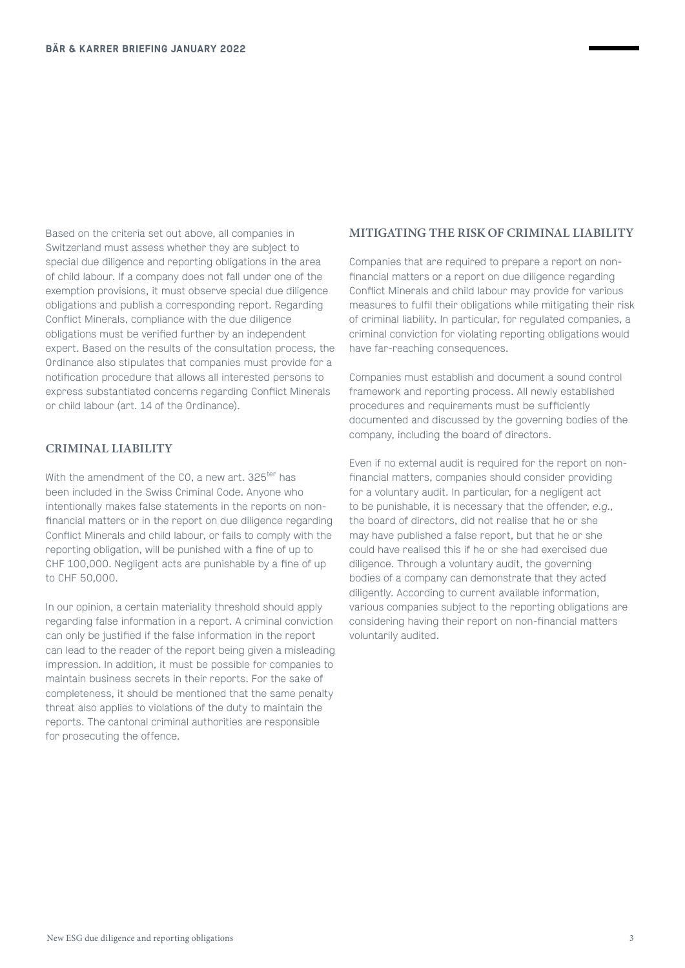Based on the criteria set out above, all companies in Switzerland must assess whether they are subject to special due diligence and reporting obligations in the area of child labour. If a company does not fall under one of the exemption provisions, it must observe special due diligence obligations and publish a corresponding report. Regarding Conflict Minerals, compliance with the due diligence obligations must be verified further by an independent expert. Based on the results of the consultation process, the Ordinance also stipulates that companies must provide for a notification procedure that allows all interested persons to express substantiated concerns regarding Conflict Minerals or child labour (art. 14 of the Ordinance).

### CRIMINAL LIABILITY

With the amendment of the CO, a new art, 325<sup>ter</sup> has been included in the Swiss Criminal Code. Anyone who intentionally makes false statements in the reports on nonfinancial matters or in the report on due diligence regarding Conflict Minerals and child labour, or fails to comply with the reporting obligation, will be punished with a fine of up to CHF 100,000. Negligent acts are punishable by a fine of up to CHF 50,000.

In our opinion, a certain materiality threshold should apply regarding false information in a report. A criminal conviction can only be justified if the false information in the report can lead to the reader of the report being given a misleading impression. In addition, it must be possible for companies to maintain business secrets in their reports. For the sake of completeness, it should be mentioned that the same penalty threat also applies to violations of the duty to maintain the reports. The cantonal criminal authorities are responsible for prosecuting the offence.

#### MITIGATING THE RISK OF CRIMINAL LIABILITY

Companies that are required to prepare a report on nonfinancial matters or a report on due diligence regarding Conflict Minerals and child labour may provide for various measures to fulfil their obligations while mitigating their risk of criminal liability. In particular, for regulated companies, a criminal conviction for violating reporting obligations would have far-reaching consequences.

Companies must establish and document a sound control framework and reporting process. All newly established procedures and requirements must be sufficiently documented and discussed by the governing bodies of the company, including the board of directors.

Even if no external audit is required for the report on nonfinancial matters, companies should consider providing for a voluntary audit. In particular, for a negligent act to be punishable, it is necessary that the offender, *e.g.*, the board of directors, did not realise that he or she may have published a false report, but that he or she could have realised this if he or she had exercised due diligence. Through a voluntary audit, the governing bodies of a company can demonstrate that they acted diligently. According to current available information, various companies subject to the reporting obligations are considering having their report on non-financial matters voluntarily audited.